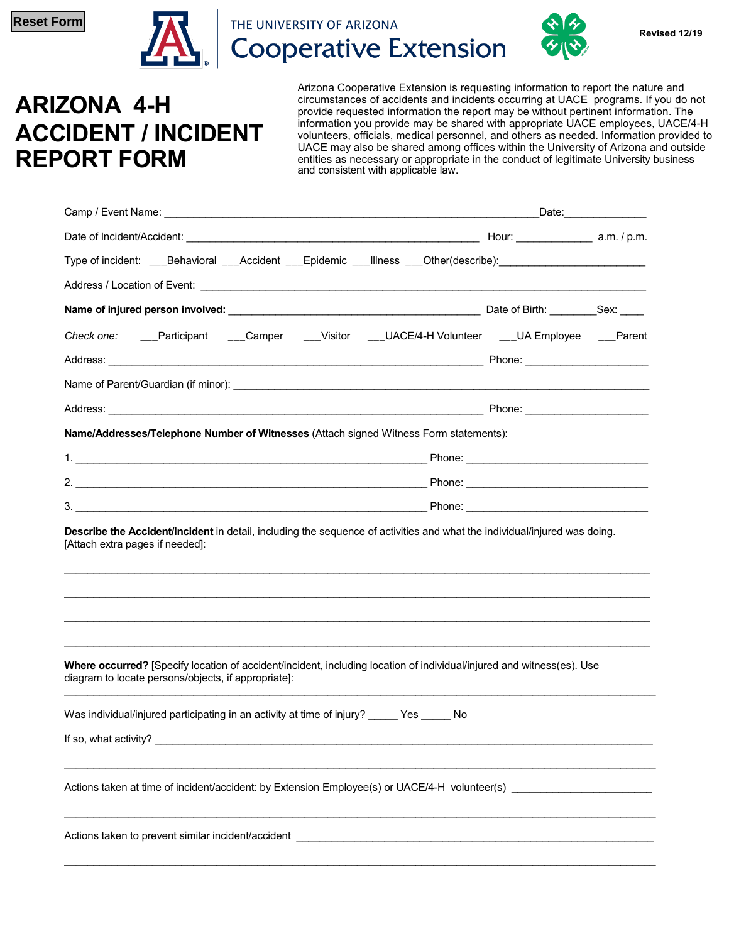

THE UNIVERSITY OF ARIZONA **Cooperative Extension** 



## **ARIZONA 4-H ACCIDENT / INCIDENT REPORT FORM**

Arizona Cooperative Extension is requesting information to report the nature and circumstances of accidents and incidents occurring at UACE programs. If you do not provide requested information the report may be without pertinent information. The information you provide may be shared with appropriate UACE employees, UACE/4-H volunteers, officials, medical personnel, and others as needed. Information provided to UACE may also be shared among offices within the University of Arizona and outside entities as necessary or appropriate in the conduct of legitimate University business and consistent with applicable law.

|                                                                                                                                                                              | Date: the contract of the contract of the contract of the contract of the contract of the contract of the contract of the contract of the contract of the contract of the contract of the contract of the contract of the cont |  |  |  |
|------------------------------------------------------------------------------------------------------------------------------------------------------------------------------|--------------------------------------------------------------------------------------------------------------------------------------------------------------------------------------------------------------------------------|--|--|--|
|                                                                                                                                                                              |                                                                                                                                                                                                                                |  |  |  |
| Type of incident: ___Behavioral ___Accident ___Epidemic ___IIIness ___Other(describe):______________                                                                         |                                                                                                                                                                                                                                |  |  |  |
|                                                                                                                                                                              |                                                                                                                                                                                                                                |  |  |  |
|                                                                                                                                                                              |                                                                                                                                                                                                                                |  |  |  |
| Check one: ___Participant ___Camper ___Visitor ___UACE/4-H Volunteer ___UA Employee ___Parent                                                                                |                                                                                                                                                                                                                                |  |  |  |
|                                                                                                                                                                              |                                                                                                                                                                                                                                |  |  |  |
|                                                                                                                                                                              |                                                                                                                                                                                                                                |  |  |  |
|                                                                                                                                                                              |                                                                                                                                                                                                                                |  |  |  |
| Name/Addresses/Telephone Number of Witnesses (Attach signed Witness Form statements):                                                                                        |                                                                                                                                                                                                                                |  |  |  |
|                                                                                                                                                                              |                                                                                                                                                                                                                                |  |  |  |
|                                                                                                                                                                              |                                                                                                                                                                                                                                |  |  |  |
|                                                                                                                                                                              |                                                                                                                                                                                                                                |  |  |  |
| [Attach extra pages if needed]:                                                                                                                                              |                                                                                                                                                                                                                                |  |  |  |
| Where occurred? [Specify location of accident/incident, including location of individual/injured and witness(es). Use<br>diagram to locate persons/objects, if appropriate]: |                                                                                                                                                                                                                                |  |  |  |
| Was individual/injured participating in an activity at time of injury? _____ Yes _____ No                                                                                    |                                                                                                                                                                                                                                |  |  |  |
|                                                                                                                                                                              |                                                                                                                                                                                                                                |  |  |  |
|                                                                                                                                                                              |                                                                                                                                                                                                                                |  |  |  |
|                                                                                                                                                                              |                                                                                                                                                                                                                                |  |  |  |